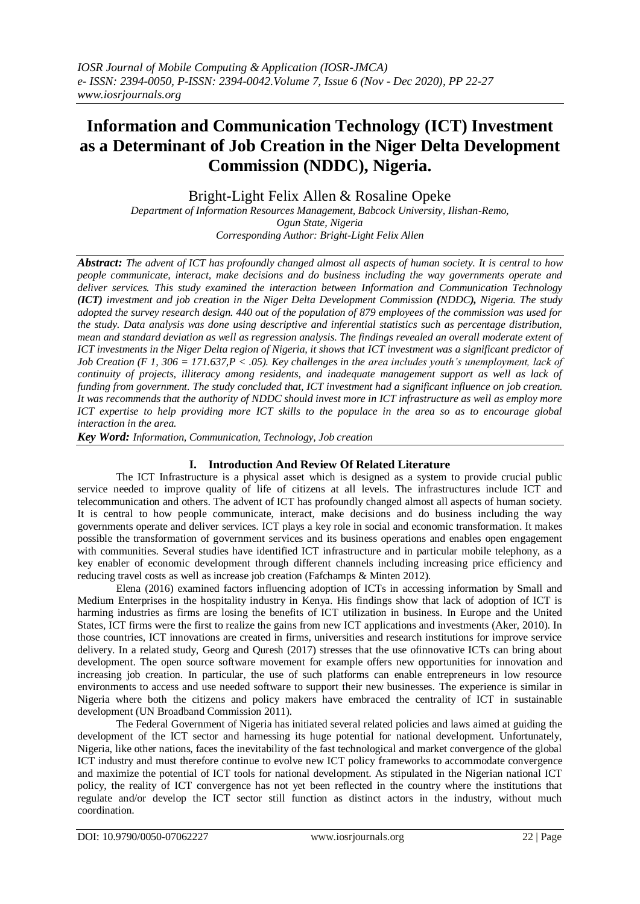# **Information and Communication Technology (ICT) Investment as a Determinant of Job Creation in the Niger Delta Development Commission (NDDC), Nigeria.**

Bright-Light Felix Allen & Rosaline Opeke

*Department of Information Resources Management, Babcock University, Ilishan-Remo, Ogun State, Nigeria Corresponding Author: Bright-Light Felix Allen*

*Abstract: The advent of ICT has profoundly changed almost all aspects of human society. It is central to how people communicate, interact, make decisions and do business including the way governments operate and deliver services. This study examined the interaction between Information and Communication Technology (ICT) investment and job creation in the Niger Delta Development Commission (NDDC), Nigeria. The study adopted the survey research design. 440 out of the population of 879 employees of the commission was used for the study. Data analysis was done using descriptive and inferential statistics such as percentage distribution, mean and standard deviation as well as regression analysis. The findings revealed an overall moderate extent of ICT investments in the Niger Delta region of Nigeria, it shows that ICT investment was a significant predictor of Job Creation (F 1, 306 = 171.637,P < .05). Key challenges in the area includes youth's unemployment, lack of continuity of projects, illiteracy among residents, and inadequate management support as well as lack of funding from government. The study concluded that, ICT investment had a significant influence on job creation. It was recommends that the authority of NDDC should invest more in ICT infrastructure as well as employ more ICT expertise to help providing more ICT skills to the populace in the area so as to encourage global interaction in the area.* 

*Key Word: Information, Communication, Technology, Job creation*

# **I. Introduction And Review Of Related Literature**

The ICT Infrastructure is a physical asset which is designed as a system to provide crucial public service needed to improve quality of life of citizens at all levels. The infrastructures include ICT and telecommunication and others. The advent of ICT has profoundly changed almost all aspects of human society. It is central to how people communicate, interact, make decisions and do business including the way governments operate and deliver services. ICT plays a key role in social and economic transformation. It makes possible the transformation of government services and its business operations and enables open engagement with communities. Several studies have identified ICT infrastructure and in particular mobile telephony, as a key enabler of economic development through different channels including increasing price efficiency and reducing travel costs as well as increase job creation (Fafchamps & Minten 2012).

Elena (2016) examined factors influencing adoption of ICTs in accessing information by Small and Medium Enterprises in the hospitality industry in Kenya. His findings show that lack of adoption of ICT is harming industries as firms are losing the benefits of ICT utilization in business. In Europe and the United States, ICT firms were the first to realize the gains from new ICT applications and investments (Aker, 2010). In those countries, ICT innovations are created in firms, universities and research institutions for improve service delivery. In a related study, Georg and [Quresh](http://aisel.aisnet.org/do/search/?q=author_lname%3A%22Qureshi%22%20author_fname%3A%22Sajda%22&start=0&context=509156) (2017) stresses that the use ofinnovative ICTs can bring about development. The open source software movement for example offers new opportunities for innovation and increasing job creation. In particular, the use of such platforms can enable entrepreneurs in low resource environments to access and use needed software to support their new businesses. The experience is similar in Nigeria where both the citizens and policy makers have embraced the centrality of ICT in sustainable development (UN Broadband Commission 2011).

The Federal Government of Nigeria has initiated several related policies and laws aimed at guiding the development of the ICT sector and harnessing its huge potential for national development. Unfortunately, Nigeria, like other nations, faces the inevitability of the fast technological and market convergence of the global ICT industry and must therefore continue to evolve new ICT policy frameworks to accommodate convergence and maximize the potential of ICT tools for national development. As stipulated in the Nigerian national ICT policy, the reality of ICT convergence has not yet been reflected in the country where the institutions that regulate and/or develop the ICT sector still function as distinct actors in the industry, without much coordination.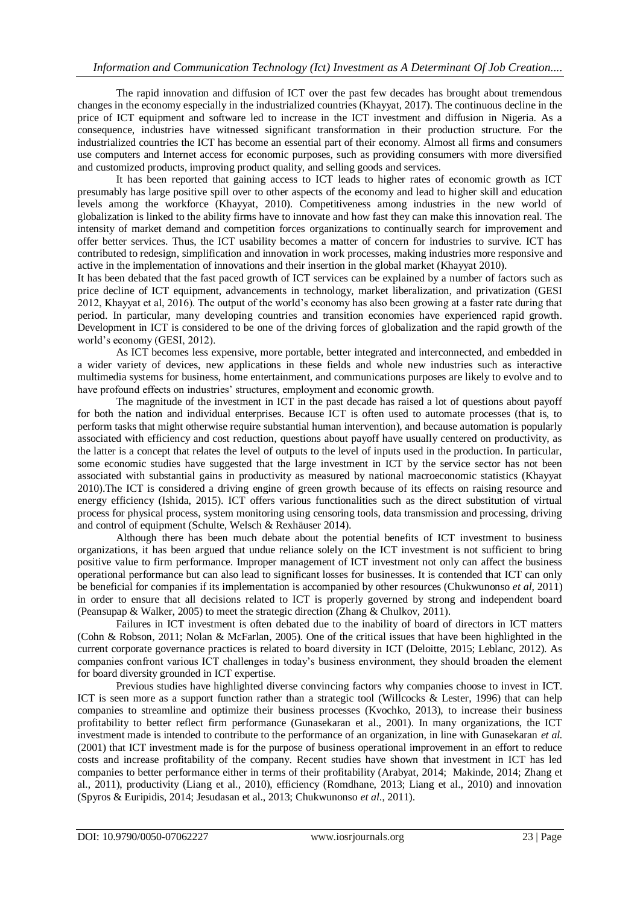The rapid innovation and diffusion of ICT over the past few decades has brought about tremendous changes in the economy especially in the industrialized countries (Khayyat, 2017). The continuous decline in the price of ICT equipment and software led to increase in the ICT investment and diffusion in Nigeria. As a consequence, industries have witnessed significant transformation in their production structure. For the industrialized countries the ICT has become an essential part of their economy. Almost all firms and consumers use computers and Internet access for economic purposes, such as providing consumers with more diversified and customized products, improving product quality, and selling goods and services.

It has been reported that gaining access to ICT leads to higher rates of economic growth as ICT presumably has large positive spill over to other aspects of the economy and lead to higher skill and education levels among the workforce (Khayyat, 2010). Competitiveness among industries in the new world of globalization is linked to the ability firms have to innovate and how fast they can make this innovation real. The intensity of market demand and competition forces organizations to continually search for improvement and offer better services. Thus, the ICT usability becomes a matter of concern for industries to survive. ICT has contributed to redesign, simplification and innovation in work processes, making industries more responsive and active in the implementation of innovations and their insertion in the global market (Khayyat 2010).

It has been debated that the fast paced growth of ICT services can be explained by a number of factors such as price decline of ICT equipment, advancements in technology, market liberalization, and privatization (GESI 2012, Khayyat et al, 2016). The output of the world's economy has also been growing at a faster rate during that period. In particular, many developing countries and transition economies have experienced rapid growth. Development in ICT is considered to be one of the driving forces of globalization and the rapid growth of the world's economy (GESI, 2012).

As ICT becomes less expensive, more portable, better integrated and interconnected, and embedded in a wider variety of devices, new applications in these fields and whole new industries such as interactive multimedia systems for business, home entertainment, and communications purposes are likely to evolve and to have profound effects on industries' structures, employment and economic growth.

The magnitude of the investment in ICT in the past decade has raised a lot of questions about payoff for both the nation and individual enterprises. Because ICT is often used to automate processes (that is, to perform tasks that might otherwise require substantial human intervention), and because automation is popularly associated with efficiency and cost reduction, questions about payoff have usually centered on productivity, as the latter is a concept that relates the level of outputs to the level of inputs used in the production. In particular, some economic studies have suggested that the large investment in ICT by the service sector has not been associated with substantial gains in productivity as measured by national macroeconomic statistics (Khayyat 2010).The ICT is considered a driving engine of green growth because of its effects on raising resource and energy efficiency (Ishida, 2015). ICT offers various functionalities such as the direct substitution of virtual process for physical process, system monitoring using censoring tools, data transmission and processing, driving and control of equipment (Schulte, Welsch & Rexhäuser 2014).

Although there has been much debate about the potential benefits of ICT investment to business organizations, it has been argued that undue reliance solely on the ICT investment is not sufficient to bring positive value to firm performance. Improper management of ICT investment not only can affect the business operational performance but can also lead to significant losses for businesses. It is contended that ICT can only be beneficial for companies if its implementation is accompanied by other resources (Chukwunonso *et al*, 2011) in order to ensure that all decisions related to ICT is properly governed by strong and independent board (Peansupap & Walker, 2005) to meet the strategic direction (Zhang & Chulkov, 2011).

Failures in ICT investment is often debated due to the inability of board of directors in ICT matters (Cohn & Robson, 2011; Nolan & McFarlan, 2005). One of the critical issues that have been highlighted in the current corporate governance practices is related to board diversity in ICT (Deloitte, 2015; Leblanc, 2012). As companies confront various ICT challenges in today's business environment, they should broaden the element for board diversity grounded in ICT expertise.

Previous studies have highlighted diverse convincing factors why companies choose to invest in ICT. ICT is seen more as a support function rather than a strategic tool (Willcocks & Lester, 1996) that can help companies to streamline and optimize their business processes (Kvochko, 2013), to increase their business profitability to better reflect firm performance (Gunasekaran et al., 2001). In many organizations, the ICT investment made is intended to contribute to the performance of an organization, in line with Gunasekaran *et al.* (2001) that ICT investment made is for the purpose of business operational improvement in an effort to reduce costs and increase profitability of the company. Recent studies have shown that investment in ICT has led companies to better performance either in terms of their profitability (Arabyat, 2014; Makinde, 2014; Zhang et al., 2011), productivity (Liang et al., 2010), efficiency (Romdhane, 2013; Liang et al., 2010) and innovation (Spyros & Euripidis, 2014; Jesudasan et al., 2013; Chukwunonso *et al*., 2011).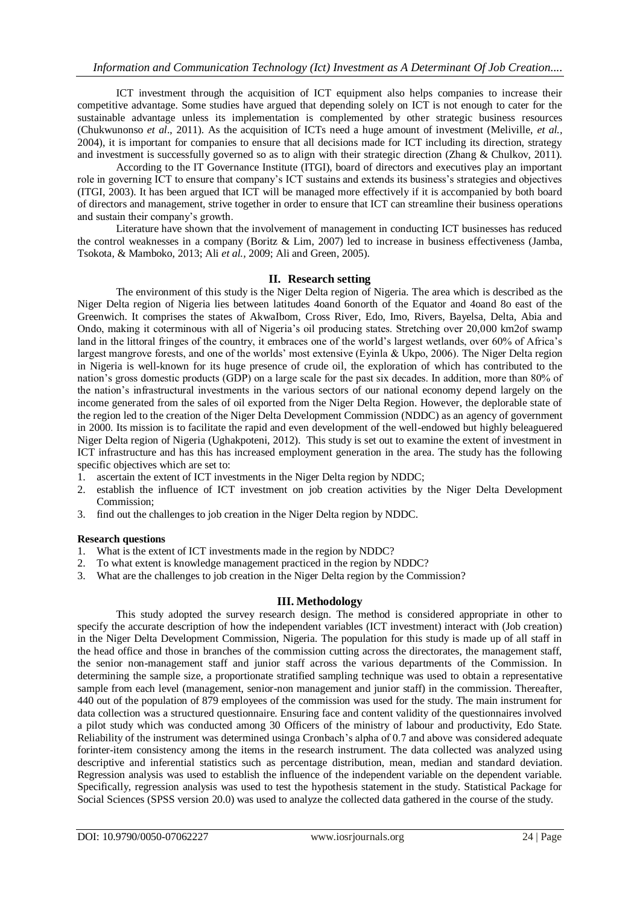ICT investment through the acquisition of ICT equipment also helps companies to increase their competitive advantage. Some studies have argued that depending solely on ICT is not enough to cater for the sustainable advantage unless its implementation is complemented by other strategic business resources (Chukwunonso *et al*., 2011). As the acquisition of ICTs need a huge amount of investment (Meliville, *et al.,* 2004), it is important for companies to ensure that all decisions made for ICT including its direction, strategy and investment is successfully governed so as to align with their strategic direction (Zhang & Chulkov, 2011).

According to the IT Governance Institute (ITGI), board of directors and executives play an important role in governing ICT to ensure that company's ICT sustains and extends its business's strategies and objectives (ITGI, 2003). It has been argued that ICT will be managed more effectively if it is accompanied by both board of directors and management, strive together in order to ensure that ICT can streamline their business operations and sustain their company's growth.

Literature have shown that the involvement of management in conducting ICT businesses has reduced the control weaknesses in a company (Boritz & Lim, 2007) led to increase in business effectiveness (Jamba, Tsokota, & Mamboko, 2013; Ali *et al.,* 2009; Ali and Green, 2005).

## **II. Research setting**

The environment of this study is the Niger Delta region of Nigeria. The area which is described as the Niger Delta region of Nigeria lies between latitudes 4oand 6onorth of the Equator and 4oand 8o east of the Greenwich. It comprises the states of AkwaIbom, Cross River, Edo, Imo, Rivers, Bayelsa, Delta, Abia and Ondo, making it coterminous with all of Nigeria's oil producing states. Stretching over 20,000 km2of swamp land in the littoral fringes of the country, it embraces one of the world's largest wetlands, over 60% of Africa's largest mangrove forests, and one of the worlds' most extensive (Eyinla & Ukpo, 2006). The Niger Delta region in Nigeria is well-known for its huge presence of crude oil, the exploration of which has contributed to the nation's gross domestic products (GDP) on a large scale for the past six decades. In addition, more than 80% of the nation's infrastructural investments in the various sectors of our national economy depend largely on the income generated from the sales of oil exported from the Niger Delta Region. However, the deplorable state of the region led to the creation of the Niger Delta Development Commission (NDDC) as an agency of government in 2000. Its mission is to facilitate the rapid and even development of the well-endowed but highly beleaguered Niger Delta region of Nigeria (Ughakpoteni, 2012). This study is set out to examine the extent of investment in ICT infrastructure and has this has increased employment generation in the area. The study has the following specific objectives which are set to:

- 1. ascertain the extent of ICT investments in the Niger Delta region by NDDC;
- 2. establish the influence of ICT investment on job creation activities by the Niger Delta Development Commission;
- 3. find out the challenges to job creation in the Niger Delta region by NDDC.

## **Research questions**

- 1. What is the extent of ICT investments made in the region by NDDC?
- 2. To what extent is knowledge management practiced in the region by NDDC?
- 3. What are the challenges to job creation in the Niger Delta region by the Commission?

# **III. Methodology**

This study adopted the survey research design. The method is considered appropriate in other to specify the accurate description of how the independent variables (ICT investment) interact with (Job creation) in the Niger Delta Development Commission, Nigeria. The population for this study is made up of all staff in the head office and those in branches of the commission cutting across the directorates, the management staff, the senior non-management staff and junior staff across the various departments of the Commission. In determining the sample size, a proportionate stratified sampling technique was used to obtain a representative sample from each level (management, senior-non management and junior staff) in the commission. Thereafter, 440 out of the population of 879 employees of the commission was used for the study. The main instrument for data collection was a structured questionnaire. Ensuring face and content validity of the questionnaires involved a pilot study which was conducted among 30 Officers of the ministry of labour and productivity, Edo State. Reliability of the instrument was determined usinga Cronbach's alpha of 0.7 and above was considered adequate forinter-item consistency among the items in the research instrument. The data collected was analyzed using descriptive and inferential statistics such as percentage distribution, mean, median and standard deviation. Regression analysis was used to establish the influence of the independent variable on the dependent variable. Specifically, regression analysis was used to test the hypothesis statement in the study. Statistical Package for Social Sciences (SPSS version 20.0) was used to analyze the collected data gathered in the course of the study.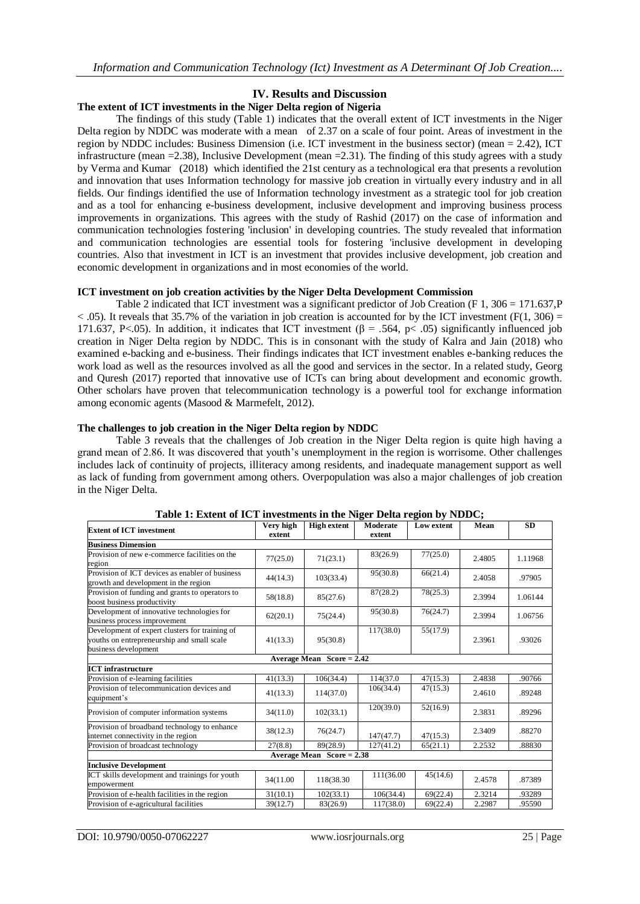# **IV. Results and Discussion**

# **The extent of ICT investments in the Niger Delta region of Nigeria**

The findings of this study (Table 1) indicates that the overall extent of ICT investments in the Niger Delta region by NDDC was moderate with a mean of 2.37 on a scale of four point. Areas of investment in the region by NDDC includes: Business Dimension (i.e. ICT investment in the business sector) (mean = 2.42), ICT infrastructure (mean  $=$  2.38), Inclusive Development (mean  $=$  2.31). The finding of this study agrees with a study by Verma and Kumar (2018) which identified the 21st century as a technological era that presents a revolution and innovation that uses Information technology for massive job creation in virtually every industry and in all fields. Our findings identified the use of Information technology investment as a strategic tool for job creation and as a tool for enhancing e-business development, inclusive development and improving business process improvements in organizations. This agrees with the study of Rashid (2017) on the case of information and communication technologies fostering 'inclusion' in developing countries. The study revealed that information and communication technologies are essential tools for fostering 'inclusive development in developing countries. Also that investment in ICT is an investment that provides inclusive development, job creation and economic development in organizations and in most economies of the world.

#### **ICT investment on job creation activities by the Niger Delta Development Commission**

Table 2 indicated that ICT investment was a significant predictor of Job Creation (F 1, 306 = 171.637,P  $<$  0.05). It reveals that 35.7% of the variation in job creation is accounted for by the ICT investment (F(1, 306) = 171.637, P<.05). In addition, it indicates that ICT investment ( $\beta$  = .564, p< .05) significantly influenced job creation in Niger Delta region by NDDC. This is in consonant with the study of Kalra and Jain (2018) who examined e-backing and e-business. Their findings indicates that ICT investment enables e-banking reduces the work load as well as the resources involved as all the good and services in the sector. In a related study, Georg and Quresh (2017) reported that innovative use of ICTs can bring about development and economic growth. Other scholars have proven that telecommunication technology is a powerful tool for exchange information among economic agents (Masood & Marmefelt, 2012).

## **The challenges to job creation in the Niger Delta region by NDDC**

Table 3 reveals that the challenges of Job creation in the Niger Delta region is quite high having a grand mean of 2.86. It was discovered that youth's unemployment in the region is worrisome. Other challenges includes lack of continuity of projects, illiteracy among residents, and inadequate management support as well as lack of funding from government among others. Overpopulation was also a major challenges of job creation in the Niger Delta.

| <b>Extent of ICT investment</b>                                                                                      | Very high<br>extent | <b>High extent</b>          | Moderate<br>extent | <b>Low extent</b> | Mean   | <b>SD</b> |
|----------------------------------------------------------------------------------------------------------------------|---------------------|-----------------------------|--------------------|-------------------|--------|-----------|
| <b>Business Dimension</b>                                                                                            |                     |                             |                    |                   |        |           |
| Provision of new e-commerce facilities on the<br>region                                                              | 77(25.0)            | 71(23.1)                    | 83(26.9)           | 77(25.0)          | 2.4805 | 1.11968   |
| Provision of ICT devices as enabler of business<br>growth and development in the region                              | 44(14.3)            | 103(33.4)                   | 95(30.8)           | 66(21.4)          | 2.4058 | .97905    |
| Provision of funding and grants to operators to<br>boost business productivity                                       | 58(18.8)            | 85(27.6)                    | 87(28.2)           | 78(25.3)          | 2.3994 | 1.06144   |
| Development of innovative technologies for<br>business process improvement                                           | 62(20.1)            | 75(24.4)                    | 95(30.8)           | 76(24.7)          | 2.3994 | 1.06756   |
| Development of expert clusters for training of<br>youths on entrepreneurship and small scale<br>business development | 41(13.3)            | 95(30.8)                    | 117(38.0)          | 55(17.9)          | 2.3961 | .93026    |
|                                                                                                                      |                     | Average Mean $Score = 2.42$ |                    |                   |        |           |
| <b>ICT</b> infrastructure                                                                                            |                     |                             |                    |                   |        |           |
| Provision of e-learning facilities                                                                                   | 41(13.3)            | 106(34.4)                   | 114(37.0)          | 47(15.3)          | 2.4838 | .90766    |
| Provision of telecommunication devices and<br>equipment's                                                            | 41(13.3)            | 114(37.0)                   | 106(34.4)          | 47(15.3)          | 2.4610 | .89248    |
| Provision of computer information systems                                                                            | 34(11.0)            | 102(33.1)                   | 120(39.0)          | 52(16.9)          | 2.3831 | .89296    |
| Provision of broadband technology to enhance<br>internet connectivity in the region                                  | 38(12.3)            | 76(24.7)                    | 147(47.7)          | 47(15.3)          | 2.3409 | .88270    |
| Provision of broadcast technology                                                                                    | 27(8.8)             | 89(28.9)                    | 127(41.2)          | 65(21.1)          | 2.2532 | .88830    |
|                                                                                                                      |                     | Average Mean $Score = 2.38$ |                    |                   |        |           |
| <b>Inclusive Development</b>                                                                                         |                     |                             |                    |                   |        |           |
| ICT skills development and trainings for youth<br>empowerment                                                        | 34(11.00            | 118(38.30)                  | 111(36.00          | 45(14.6)          | 2.4578 | .87389    |
| Provision of e-health facilities in the region                                                                       | 31(10.1)            | 102(33.1)                   | 106(34.4)          | 69(22.4)          | 2.3214 | .93289    |
| Provision of e-agricultural facilities                                                                               | 39(12.7)            | 83(26.9)                    | 117(38.0)          | 69(22.4)          | 2.2987 | .95590    |

**Table 1: Extent of ICT investments in the Niger Delta region by NDDC;**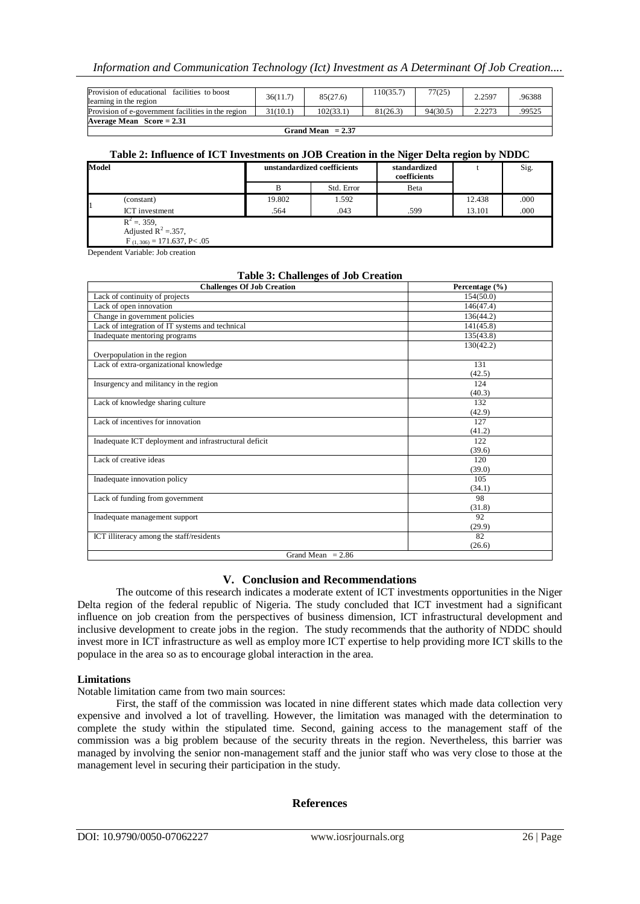| Provision of educational facilities to boost<br>learning in the region | 36(11.7) | 85(27.6)  | 110(35.7) | 77(25)   | 2.2597 | .96388 |
|------------------------------------------------------------------------|----------|-----------|-----------|----------|--------|--------|
| Provision of e-government facilities in the region                     | 31(10.1) | 102(33.1) | 81(26.3)  | 94(30.5) | 2.2273 | .99525 |
| Average Mean $Score = 2.31$                                            |          |           |           |          |        |        |
| Grand Mean $= 2.37$                                                    |          |           |           |          |        |        |

# **Table 2: Influence of ICT Investments on JOB Creation in the Niger Delta region by NDDC**

| Model                                                                         | unstandardized coefficients |            | standardized<br>coefficients |        | Sig. |
|-------------------------------------------------------------------------------|-----------------------------|------------|------------------------------|--------|------|
|                                                                               | B                           | Std. Error | Beta                         |        |      |
| (constant)                                                                    | 19.802                      | 1.592      |                              | 12.438 | .000 |
| <b>ICT</b> investment                                                         | .564                        | .043       | .599                         | 13.101 | .000 |
| $R^2 = 0.359$ ,<br>Adjusted $R^2$ = 357,<br>$F_{(1, 306)} = 171.637, P < .05$ |                             |            |                              |        |      |

Dependent Variable: Job creation

# **Table 3: Challenges of Job Creation**

| <b>Challenges Of Job Creation</b>                     | Percentage $(\% )$ |
|-------------------------------------------------------|--------------------|
| Lack of continuity of projects                        | 154(50.0)          |
| Lack of open innovation                               | 146(47.4)          |
| Change in government policies                         | 136(44.2)          |
| Lack of integration of IT systems and technical       | 141(45.8)          |
| Inadequate mentoring programs                         | 135(43.8)          |
| Overpopulation in the region                          | 130(42.2)          |
| Lack of extra-organizational knowledge                | 131<br>(42.5)      |
| Insurgency and militancy in the region                | 124<br>(40.3)      |
| Lack of knowledge sharing culture                     | 132<br>(42.9)      |
| Lack of incentives for innovation                     | 127<br>(41.2)      |
| Inadequate ICT deployment and infrastructural deficit | 122<br>(39.6)      |
| Lack of creative ideas                                | 120<br>(39.0)      |
| Inadequate innovation policy                          | 105<br>(34.1)      |
| Lack of funding from government                       | 98<br>(31.8)       |
| Inadequate management support                         | 92<br>(29.9)       |
| ICT illiteracy among the staff/residents              | 82<br>(26.6)       |
| Grand Mean $= 2.86$                                   |                    |

## **V. Conclusion and Recommendations**

The outcome of this research indicates a moderate extent of ICT investments opportunities in the Niger Delta region of the federal republic of Nigeria. The study concluded that ICT investment had a significant influence on job creation from the perspectives of business dimension, ICT infrastructural development and inclusive development to create jobs in the region. The study recommends that the authority of NDDC should invest more in ICT infrastructure as well as employ more ICT expertise to help providing more ICT skills to the populace in the area so as to encourage global interaction in the area.

# **Limitations**

Notable limitation came from two main sources:

First, the staff of the commission was located in nine different states which made data collection very expensive and involved a lot of travelling. However, the limitation was managed with the determination to complete the study within the stipulated time. Second, gaining access to the management staff of the commission was a big problem because of the security threats in the region. Nevertheless, this barrier was managed by involving the senior non-management staff and the junior staff who was very close to those at the management level in securing their participation in the study.

# **References**